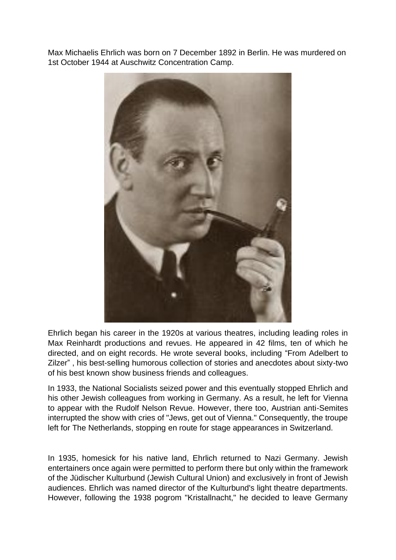Max Michaelis Ehrlich was born on 7 December 1892 in Berlin. He was murdered on 1st October 1944 at Auschwitz Concentration Camp.



Ehrlich began his career in the 1920s at various theatres, including leading roles in Max Reinhardt productions and revues. He appeared in 42 films, ten of which he directed, and on eight records. He wrote several books, including "From Adelbert to Zilzer" , his best-selling humorous collection of stories and anecdotes about sixty-two of his best known show business friends and colleagues.

In 1933, the National Socialists seized power and this eventually stopped Ehrlich and his other Jewish colleagues from working in Germany. As a result, he left for Vienna to appear with the Rudolf Nelson Revue. However, there too, Austrian anti-Semites interrupted the show with cries of "Jews, get out of Vienna." Consequently, the troupe left for The Netherlands, stopping en route for stage appearances in Switzerland.

In 1935, homesick for his native land, Ehrlich returned to Nazi Germany. Jewish entertainers once again were permitted to perform there but only within the framework of the Jüdischer Kulturbund (Jewish Cultural Union) and exclusively in front of Jewish audiences. Ehrlich was named director of the Kulturbund's light theatre departments. However, following the 1938 pogrom "Kristallnacht," he decided to leave Germany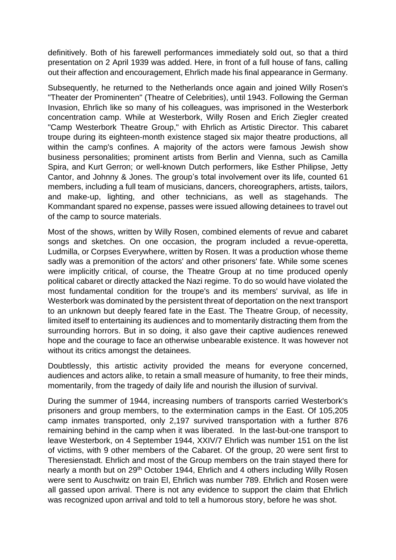definitively. Both of his farewell performances immediately sold out, so that a third presentation on 2 April 1939 was added. Here, in front of a full house of fans, calling out their affection and encouragement, Ehrlich made his final appearance in Germany.

Subsequently, he returned to the Netherlands once again and joined Willy Rosen's "Theater der Prominenten" (Theatre of Celebrities), until 1943. Following the German Invasion, Ehrlich like so many of his colleagues, was imprisoned in the Westerbork concentration camp. While at Westerbork, Willy Rosen and Erich Ziegler created "Camp Westerbork Theatre Group," with Ehrlich as Artistic Director. This cabaret troupe during its eighteen-month existence staged six major theatre productions, all within the camp's confines. A majority of the actors were famous Jewish show business personalities; prominent artists from Berlin and Vienna, such as Camilla Spira, and Kurt Gerron; or well-known Dutch performers, like Esther Philipse, Jetty Cantor, and Johnny & Jones. The group's total involvement over its life, counted 61 members, including a full team of musicians, dancers, choreographers, artists, tailors, and make-up, lighting, and other technicians, as well as stagehands. The Kommandant spared no expense, passes were issued allowing detainees to travel out of the camp to source materials.

Most of the shows, written by Willy Rosen, combined elements of revue and cabaret songs and sketches. On one occasion, the program included a revue-operetta, Ludmilla, or Corpses Everywhere, written by Rosen. It was a production whose theme sadly was a premonition of the actors' and other prisoners' fate. While some scenes were implicitly critical, of course, the Theatre Group at no time produced openly political cabaret or directly attacked the Nazi regime. To do so would have violated the most fundamental condition for the troupe's and its members' survival, as life in Westerbork was dominated by the persistent threat of deportation on the next transport to an unknown but deeply feared fate in the East. The Theatre Group, of necessity, limited itself to entertaining its audiences and to momentarily distracting them from the surrounding horrors. But in so doing, it also gave their captive audiences renewed hope and the courage to face an otherwise unbearable existence. It was however not without its critics amongst the detainees.

Doubtlessly, this artistic activity provided the means for everyone concerned, audiences and actors alike, to retain a small measure of humanity, to free their minds, momentarily, from the tragedy of daily life and nourish the illusion of survival.

During the summer of 1944, increasing numbers of transports carried Westerbork's prisoners and group members, to the extermination camps in the East. Of 105,205 camp inmates transported, only 2,197 survived transportation with a further 876 remaining behind in the camp when it was liberated. In the last-but-one transport to leave Westerbork, on 4 September 1944, XXIV/7 Ehrlich was number 151 on the list of victims, with 9 other members of the Cabaret. Of the group, 20 were sent first to Theresienstadt. Ehrlich and most of the Group members on the train stayed there for nearly a month but on 29<sup>th</sup> October 1944, Ehrlich and 4 others including Willy Rosen were sent to Auschwitz on train El, Ehrlich was number 789. Ehrlich and Rosen were all gassed upon arrival. There is not any evidence to support the claim that Ehrlich was recognized upon arrival and told to tell a humorous story, before he was shot.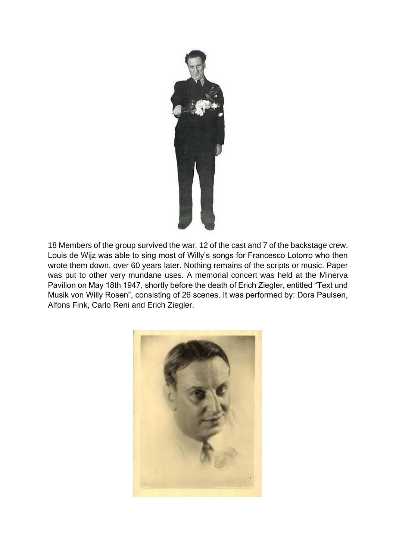

18 Members of the group survived the war, 12 of the cast and 7 of the backstage crew. Louis de Wijz was able to sing most of Willy's songs for Francesco Lotorro who then wrote them down, over 60 years later. Nothing remains of the scripts or music. Paper was put to other very mundane uses. A memorial concert was held at the Minerva Pavilion on May 18th 1947, shortly before the death of Erich Ziegler, entitled "Text und Musik von Willy Rosen", consisting of 26 scenes. It was performed by: Dora Paulsen, Alfons Fink, Carlo Reni and Erich Ziegler.

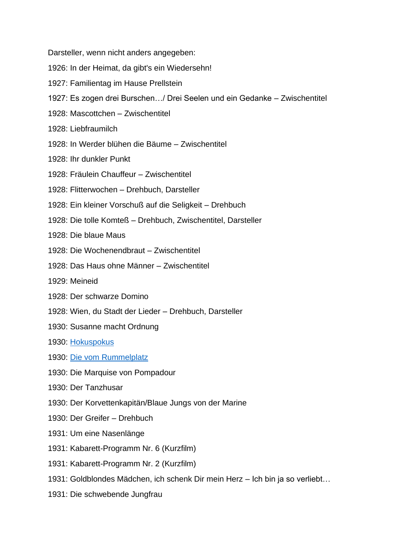Darsteller, wenn nicht anders angegeben:

- 1926: In der Heimat, da gibt's ein Wiedersehn!
- 1927: Familientag im Hause Prellstein
- 1927: Es zogen drei Burschen…/ Drei Seelen und ein Gedanke Zwischentitel
- 1928: Mascottchen Zwischentitel
- 1928: Liebfraumilch
- 1928: In Werder blühen die Bäume Zwischentitel
- 1928: Ihr dunkler Punkt
- 1928: Fräulein Chauffeur Zwischentitel
- 1928: Flitterwochen Drehbuch, Darsteller
- 1928: Ein kleiner Vorschuß auf die Seligkeit Drehbuch
- 1928: Die tolle Komteß Drehbuch, Zwischentitel, Darsteller
- 1928: Die blaue Maus
- 1928: Die Wochenendbraut Zwischentitel
- 1928: Das Haus ohne Männer Zwischentitel
- 1929: Meineid
- 1928: Der schwarze Domino
- 1928: Wien, du Stadt der Lieder Drehbuch, Darsteller
- 1930: Susanne macht Ordnung
- 1930: [Hokuspokus](https://youtu.be/7l55m27qAJk)
- 1930: [Die vom Rummelplatz](https://youtu.be/grYBfx7copQ)
- 1930: Die Marquise von Pompadour
- 1930: Der Tanzhusar
- 1930: Der Korvettenkapitän/Blaue Jungs von der Marine
- 1930: Der Greifer Drehbuch
- 1931: Um eine Nasenlänge
- 1931: Kabarett-Programm Nr. 6 (Kurzfilm)
- 1931: Kabarett-Programm Nr. 2 (Kurzfilm)
- 1931: Goldblondes Mädchen, ich schenk Dir mein Herz Ich bin ja so verliebt…
- 1931: Die schwebende Jungfrau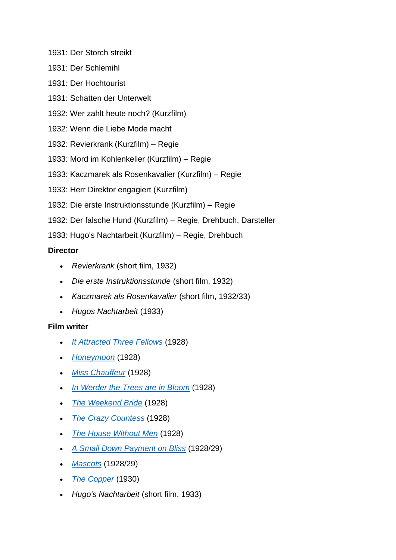- 1931: Der Storch streikt
- 1931: Der Schlemihl
- 1931: Der Hochtourist
- 1931: Schatten der Unterwelt
- 1932: Wer zahlt heute noch? (Kurzfilm)
- 1932: Wenn die Liebe Mode macht
- 1932: Revierkrank (Kurzfilm) Regie
- 1933: Mord im Kohlenkeller (Kurzfilm) Regie
- 1933: Kaczmarek als Rosenkavalier (Kurzfilm) Regie
- 1933: Herr Direktor engagiert (Kurzfilm)
- 1932: Die erste Instruktionsstunde (Kurzfilm) Regie
- 1932: Der falsche Hund (Kurzfilm) Regie, Drehbuch, Darsteller
- 1933: Hugo's Nachtarbeit (Kurzfilm) Regie, Drehbuch

# **Director**

- *Revierkrank* (short film, 1932)
- *Die erste Instruktionsstunde* (short film, 1932)
- *Kaczmarek als Rosenkavalier* (short film, 1932/33)
- *Hugos Nachtarbeit* (1933)

### **Film writer**

- *[It Attracted Three Fellows](https://en.wikipedia.org/wiki/It_Attracted_Three_Fellows)* (1928)
- *[Honeymoon](https://en.wikipedia.org/wiki/Honeymoon_(1928_German_film))* (1928)
- *[Miss Chauffeur](https://en.wikipedia.org/wiki/Miss_Chauffeur)* (1928)
- *[In Werder the Trees are in Bloom](https://en.wikipedia.org/wiki/In_Werder_the_Trees_are_in_Bloom)* (1928)
- *[The Weekend Bride](https://en.wikipedia.org/wiki/The_Weekend_Bride)* (1928)
- *[The Crazy Countess](https://en.wikipedia.org/wiki/The_Crazy_Countess)* (1928)
- *[The House Without Men](https://en.wikipedia.org/wiki/The_House_Without_Men)* (1928)
- *[A Small Down Payment on Bliss](https://en.wikipedia.org/wiki/A_Small_Down_Payment_on_Bliss)* (1928/29)
- *[Mascots](https://en.wikipedia.org/wiki/Mascots_(1929_film))* (1928/29)
- *[The Copper](https://en.wikipedia.org/wiki/The_Copper_(1930_film))* (1930)
- *Hugo's Nachtarbeit* (short film, 1933)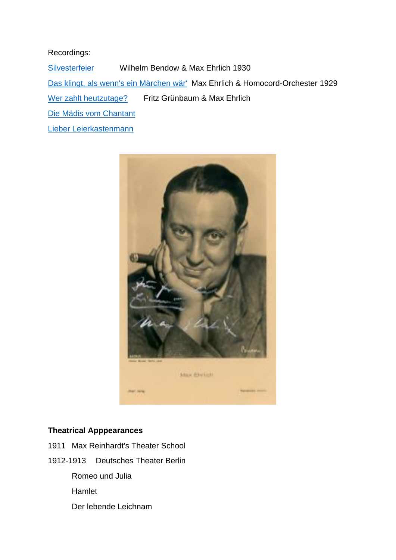### Recordings:

[Silvesterfeier](https://youtu.be/K51X1tP_4yQ) Wilhelm Bendow & Max Ehrlich 1930 [Das klingt, als wenn's ein Märchen wär'](https://youtu.be/k96lXu9uFzA) Max Ehrlich & Homocord-Orchester 1929 [Wer zahlt heutzutage?](https://youtu.be/9VL4dEy1xhM) Fritz Grünbaum & Max Ehrlich [Die Mädis vom Chantant](https://youtu.be/7OYPkkTRsLY) [Lieber Leierkastenmann](https://youtu.be/b4UsHvKekto)



## **Theatrical Apppearances**

- 1911 Max Reinhardt's Theater School
- 1912-1913 Deutsches Theater Berlin
	- Romeo und Julia
	- Hamlet
	- Der lebende Leichnam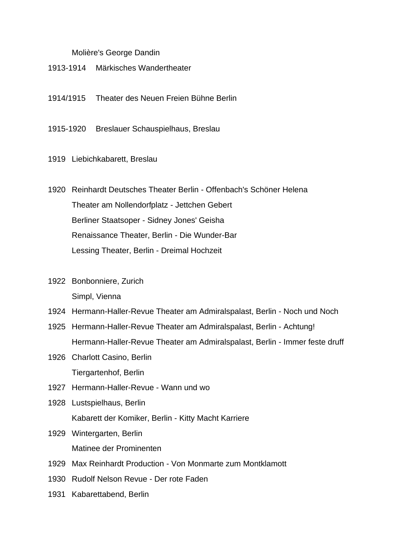#### Molière's George Dandin

- 1913-1914 Märkisches Wandertheater
- 1914/1915 Theater des Neuen Freien Bühne Berlin
- 1915-1920 Breslauer Schauspielhaus, Breslau
- 1919 Liebichkabarett, Breslau
- 1920 Reinhardt Deutsches Theater Berlin Offenbach's Schöner Helena Theater am Nollendorfplatz - Jettchen Gebert Berliner Staatsoper - Sidney Jones' Geisha Renaissance Theater, Berlin - Die Wunder-Bar Lessing Theater, Berlin - Dreimal Hochzeit
- 1922 Bonbonniere, Zurich Simpl, Vienna
- 1924 Hermann-Haller-Revue Theater am Admiralspalast, Berlin Noch und Noch
- 1925 Hermann-Haller-Revue Theater am Admiralspalast, Berlin Achtung! Hermann-Haller-Revue Theater am Admiralspalast, Berlin - Immer feste druff
- 1926 Charlott Casino, Berlin Tiergartenhof, Berlin
- 1927 Hermann-Haller-Revue Wann und wo
- 1928 Lustspielhaus, Berlin Kabarett der Komiker, Berlin - Kitty Macht Karriere
- 1929 Wintergarten, Berlin Matinee der Prominenten
- 1929 Max Reinhardt Production Von Monmarte zum Montklamott
- 1930 Rudolf Nelson Revue Der rote Faden
- 1931 Kabarettabend, Berlin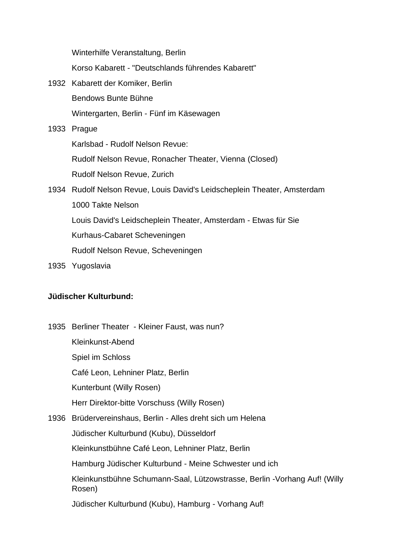Winterhilfe Veranstaltung, Berlin

Korso Kabarett - "Deutschlands führendes Kabarett"

1932 Kabarett der Komiker, Berlin Bendows Bunte Bühne Wintergarten, Berlin - Fünf im Käsewagen 1933 Prague Karlsbad - Rudolf Nelson Revue:

Rudolf Nelson Revue, Ronacher Theater, Vienna (Closed)

Rudolf Nelson Revue, Zurich

1934 Rudolf Nelson Revue, Louis David's Leidscheplein Theater, Amsterdam 1000 Takte Nelson Louis David's Leidscheplein Theater, Amsterdam - Etwas für Sie Kurhaus-Cabaret Scheveningen Rudolf Nelson Revue, Scheveningen

1935 Yugoslavia

#### **Jüdischer Kulturbund:**

- 1935 Berliner Theater Kleiner Faust, was nun? Kleinkunst-Abend Spiel im Schloss Café Leon, Lehniner Platz, Berlin Kunterbunt (Willy Rosen) Herr Direktor-bitte Vorschuss (Willy Rosen)
- 1936 Brüdervereinshaus, Berlin Alles dreht sich um Helena

Jüdischer Kulturbund (Kubu), Düsseldorf

Kleinkunstbühne Café Leon, Lehniner Platz, Berlin

Hamburg Jüdischer Kulturbund - Meine Schwester und ich

Kleinkunstbühne Schumann-Saal, Lützowstrasse, Berlin -Vorhang Auf! (Willy Rosen)

Jüdischer Kulturbund (Kubu), Hamburg - Vorhang Auf!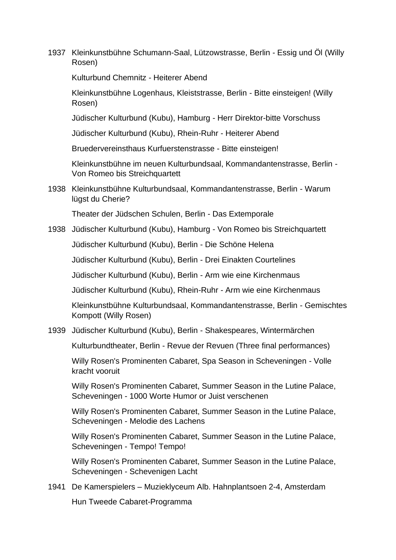1937 Kleinkunstbühne Schumann-Saal, Lützowstrasse, Berlin - Essig und Öl (Willy Rosen)

Kulturbund Chemnitz - Heiterer Abend

Kleinkunstbühne Logenhaus, Kleiststrasse, Berlin - Bitte einsteigen! (Willy Rosen)

Jüdischer Kulturbund (Kubu), Hamburg - Herr Direktor-bitte Vorschuss

Jüdischer Kulturbund (Kubu), Rhein-Ruhr - Heiterer Abend

Bruedervereinsthaus Kurfuerstenstrasse - Bitte einsteigen!

Kleinkunstbühne im neuen Kulturbundsaal, Kommandantenstrasse, Berlin - Von Romeo bis Streichquartett

1938 Kleinkunstbühne Kulturbundsaal, Kommandantenstrasse, Berlin - Warum lügst du Cherie?

Theater der Jüdschen Schulen, Berlin - Das Extemporale

1938 Jüdischer Kulturbund (Kubu), Hamburg - Von Romeo bis Streichquartett

Jüdischer Kulturbund (Kubu), Berlin - Die Schöne Helena

Jüdischer Kulturbund (Kubu), Berlin - Drei Einakten Courtelines

Jüdischer Kulturbund (Kubu), Berlin - Arm wie eine Kirchenmaus

Jüdischer Kulturbund (Kubu), Rhein-Ruhr - Arm wie eine Kirchenmaus

Kleinkunstbühne Kulturbundsaal, Kommandantenstrasse, Berlin - Gemischtes Kompott (Willy Rosen)

1939 Jüdischer Kulturbund (Kubu), Berlin - Shakespeares, Wintermärchen

Kulturbundtheater, Berlin - Revue der Revuen (Three final performances)

Willy Rosen's Prominenten Cabaret, Spa Season in Scheveningen - Volle kracht vooruit

Willy Rosen's Prominenten Cabaret, Summer Season in the Lutine Palace, Scheveningen - 1000 Worte Humor or Juist verschenen

Willy Rosen's Prominenten Cabaret, Summer Season in the Lutine Palace, Scheveningen - Melodie des Lachens

Willy Rosen's Prominenten Cabaret, Summer Season in the Lutine Palace, Scheveningen - Tempo! Tempo!

Willy Rosen's Prominenten Cabaret, Summer Season in the Lutine Palace, Scheveningen - Schevenigen Lacht

1941 De Kamerspielers – Muzieklyceum Alb. Hahnplantsoen 2-4, Amsterdam Hun Tweede Cabaret-Programma